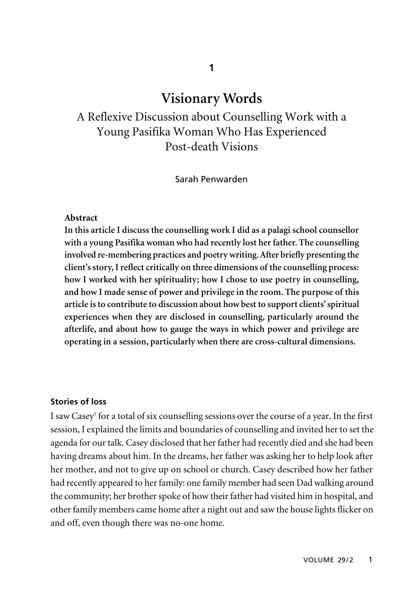# **Visionary Words**

A Reflexive Discussion about Counselling Work with a Young Pasifika Woman Who Has Experienced Post-death Visions

Sarah Penwarden

#### **Abstract**

**In this article I discuss the counselling work I did as a palagi school counsellor with a young Pasifika woman who had recently lost her father. The counselling involved re-membering practices and poetry writing. After briefly presenting the client's story, I reflect critically on three dimensions of the counselling process: how I worked with her spirituality; how I chose to use poetry in counselling, and how I made sense of power and privilege in the room. The purpose of this article is to contribute to discussion about how best to support clients' spiritual experiences when they are disclosed in counselling, particularly around the afterlife, and about how to gauge the ways in which power and privilege are operating in a session, particularly when there are cross-cultural dimensions.**

## **Stories of loss**

I saw Casey<sup>1</sup> for a total of six counselling sessions over the course of a year. In the first session, I explained the limits and boundaries of counselling and invited her to set the agenda for our talk. Casey disclosed that her father had recently died and she had been having dreams about him. In the dreams, her father was asking her to help look after her mother, and not to give up on school or church. Casey described how her father had recently appeared to her family: one family member had seen Dad walking around the community; her brother spoke of how their father had visited him in hospital, and other family members came home after a night out and saw the house lights flicker on and off, even though there was no-one home.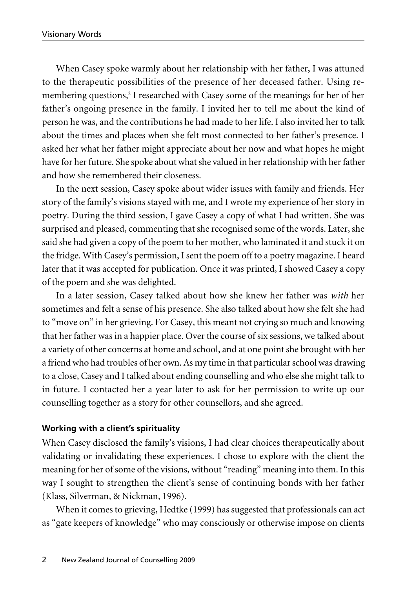When Casey spoke warmly about her relationship with her father, I was attuned to the therapeutic possibilities of the presence of her deceased father. Using remembering questions,<sup>2</sup> I researched with Casey some of the meanings for her of her father's ongoing presence in the family. I invited her to tell me about the kind of person he was, and the contributions he had made to her life. I also invited her to talk about the times and places when she felt most connected to her father's presence. I asked her what her father might appreciate about her now and what hopes he might have for her future. She spoke about what she valued in her relationship with her father and how she remembered their closeness.

In the next session, Casey spoke about wider issues with family and friends. Her story of the family's visions stayed with me, and I wrote my experience of her story in poetry. During the third session, I gave Casey a copy of what I had written. She was surprised and pleased, commenting that she recognised some of the words. Later, she said she had given a copy of the poem to her mother, who laminated it and stuck it on the fridge. With Casey's permission, I sent the poem off to a poetry magazine. I heard later that it was accepted for publication. Once it was printed, I showed Casey a copy of the poem and she was delighted.

In a later session, Casey talked about how she knew her father was *with* her sometimes and felt a sense of his presence. She also talked about how she felt she had to "move on" in her grieving. For Casey, this meant not crying so much and knowing that her father was in a happier place. Over the course of six sessions, we talked about a variety of other concerns at home and school, and at one point she brought with her a friend who had troubles of her own. As my time in that particular school was drawing to a close, Casey and I talked about ending counselling and who else she might talk to in future. I contacted her a year later to ask for her permission to write up our counselling together as a story for other counsellors, and she agreed.

#### **Working with a client's spirituality**

When Casey disclosed the family's visions, I had clear choices therapeutically about validating or invalidating these experiences. I chose to explore with the client the meaning for her of some of the visions, without "reading" meaning into them. In this way I sought to strengthen the client's sense of continuing bonds with her father (Klass, Silverman, & Nickman, 1996).

When it comes to grieving, Hedtke (1999) has suggested that professionals can act as "gate keepers of knowledge" who may consciously or otherwise impose on clients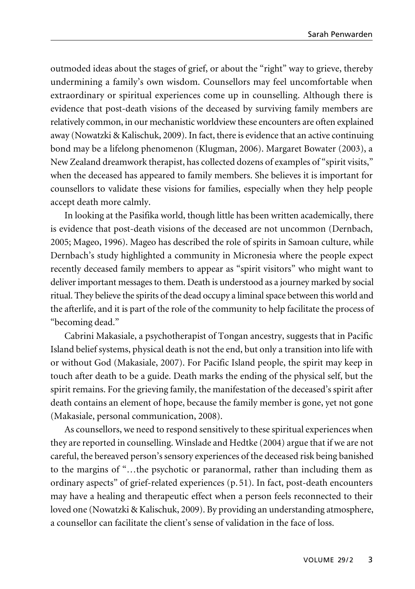outmoded ideas about the stages of grief, or about the "right" way to grieve, thereby undermining a family's own wisdom. Counsellors may feel uncomfortable when extraordinary or spiritual experiences come up in counselling. Although there is evidence that post-death visions of the deceased by surviving family members are relatively common, in our mechanistic worldview these encounters are often explained away (Nowatzki & Kalischuk, 2009). In fact, there is evidence that an active continuing bond may be a lifelong phenomenon (Klugman, 2006). Margaret Bowater (2003), a New Zealand dreamwork therapist, has collected dozens of examples of "spirit visits," when the deceased has appeared to family members. She believes it is important for counsellors to validate these visions for families, especially when they help people accept death more calmly.

In looking at the Pasifika world, though little has been written academically, there is evidence that post-death visions of the deceased are not uncommon (Dernbach, 2005; Mageo, 1996). Mageo has described the role of spirits in Samoan culture, while Dernbach's study highlighted a community in Micronesia where the people expect recently deceased family members to appear as "spirit visitors" who might want to deliver important messages to them. Death is understood as a journey marked by social ritual. They believe the spirits of the dead occupy a liminal space between this world and the afterlife, and it is part of the role of the community to help facilitate the process of "becoming dead."

Cabrini Makasiale, a psychotherapist of Tongan ancestry, suggests that in Pacific Island belief systems, physical death is not the end, but only a transition into life with or without God (Makasiale, 2007). For Pacific Island people, the spirit may keep in touch after death to be a guide. Death marks the ending of the physical self, but the spirit remains. For the grieving family, the manifestation of the deceased's spirit after death contains an element of hope, because the family member is gone, yet not gone (Makasiale, personal communication, 2008).

As counsellors, we need to respond sensitively to these spiritual experiences when they are reported in counselling. Winslade and Hedtke (2004) argue that if we are not careful, the bereaved person's sensory experiences of the deceased risk being banished to the margins of "…the psychotic or paranormal, rather than including them as ordinary aspects" of grief-related experiences (p. 51). In fact, post-death encounters may have a healing and therapeutic effect when a person feels reconnected to their loved one (Nowatzki & Kalischuk, 2009). By providing an understanding atmosphere, a counsellor can facilitate the client's sense of validation in the face of loss.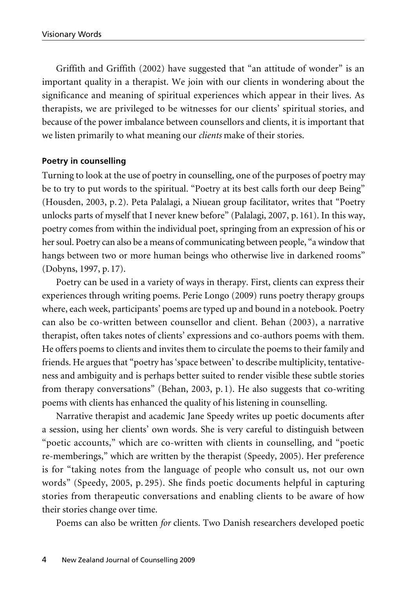Griffith and Griffith (2002) have suggested that "an attitude of wonder" is an important quality in a therapist. We join with our clients in wondering about the significance and meaning of spiritual experiences which appear in their lives. As therapists, we are privileged to be witnesses for our clients' spiritual stories, and because of the power imbalance between counsellors and clients, it is important that we listen primarily to what meaning our *clients* make of their stories.

### **Poetry in counselling**

Turning to look at the use of poetry in counselling, one of the purposes of poetry may be to try to put words to the spiritual. "Poetry at its best calls forth our deep Being" (Housden, 2003, p. 2). Peta Palalagi, a Niuean group facilitator, writes that "Poetry unlocks parts of myself that I never knew before" (Palalagi, 2007, p. 161). In this way, poetry comes from within the individual poet, springing from an expression of his or her soul. Poetry can also be a means of communicating between people, "a window that hangs between two or more human beings who otherwise live in darkened rooms" (Dobyns, 1997, p. 17).

Poetry can be used in a variety of ways in therapy. First, clients can express their experiences through writing poems. Perie Longo (2009) runs poetry therapy groups where, each week, participants' poems are typed up and bound in a notebook. Poetry can also be co-written between counsellor and client. Behan (2003), a narrative therapist, often takes notes of clients' expressions and co-authors poems with them. He offers poems to clients and invites them to circulate the poems to their family and friends. He argues that "poetry has 'space between' to describe multiplicity, tentative ness and ambiguity and is perhaps better suited to render visible these subtle stories from therapy conversations" (Behan, 2003, p. 1). He also suggests that co-writing poems with clients has enhanced the quality of his listening in counselling.

Narrative therapist and academic Jane Speedy writes up poetic documents after a session, using her clients' own words. She is very careful to distinguish between "poetic accounts," which are co-written with clients in counselling, and "poetic re-memberings," which are written by the therapist (Speedy, 2005). Her preference is for "taking notes from the language of people who consult us, not our own words" (Speedy, 2005, p. 295). She finds poetic documents helpful in capturing stories from therapeutic conversations and enabling clients to be aware of how their stories change over time.

Poems can also be written *for* clients. Two Danish researchers developed poetic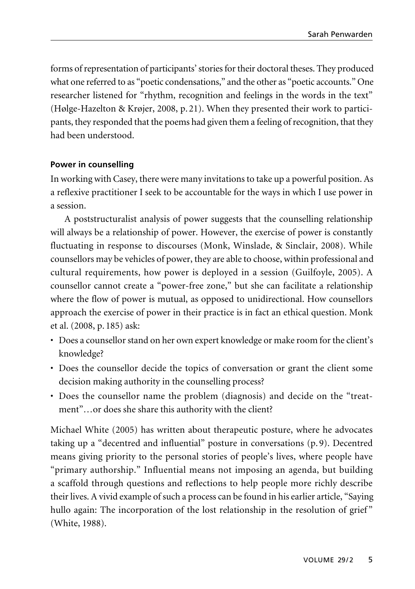forms of representation of participants' stories for their doctoral theses. They produced what one referred to as "poetic condensations," and the other as "poetic accounts." One researcher listened for "rhythm, recognition and feelings in the words in the text" (Hølge-Hazelton & Krøjer, 2008, p. 21). When they presented their work to partici pants, they responded that the poems had given them a feeling of recognition, that they had been understood.

## **Power in counselling**

In working with Casey, there were many invitations to take up a powerful position. As a reflexive practitioner I seek to be accountable for the ways in which I use power in a session.

A poststructuralist analysis of power suggests that the counselling relationship will always be a relationship of power. However, the exercise of power is constantly fluctuating in response to discourses (Monk, Winslade, & Sinclair, 2008). While counsellors may be vehicles of power, they are able to choose, within professional and cultural requirements, how power is deployed in a session (Guilfoyle, 2005). A counsellor cannot create a "power-free zone," but she can facilitate a relationship where the flow of power is mutual, as opposed to unidirectional. How counsellors approach the exercise of power in their practice is in fact an ethical question. Monk et al. (2008, p. 185) ask:

- Does a counsellor stand on her own expert knowledge or make room for the client's knowledge?
- Does the counsellor decide the topics of conversation or grant the client some decision making authority in the counselling process?
- Does the counsellor name the problem (diagnosis) and decide on the "treat ment"…or does she share this authority with the client?

Michael White (2005) has written about therapeutic posture, where he advocates taking up a "decentred and influential" posture in conversations (p. 9). Decentred means giving priority to the personal stories of people's lives, where people have "primary authorship." Influential means not imposing an agenda, but building a scaffold through questions and reflections to help people more richly describe their lives. A vivid example of such a process can be found in his earlier article, "Saying hullo again: The incorporation of the lost relationship in the resolution of grief" (White, 1988).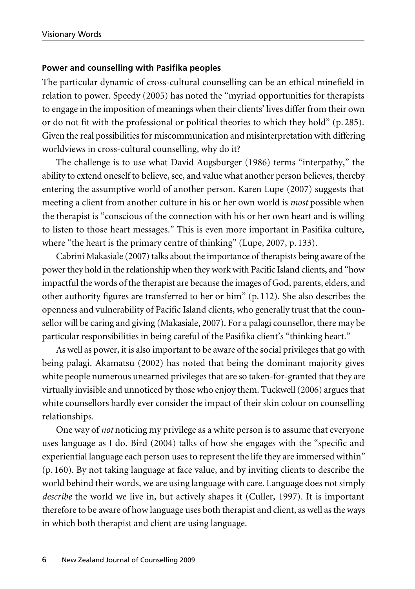#### **Power and counselling with Pasifika peoples**

The particular dynamic of cross-cultural counselling can be an ethical minefield in relation to power. Speedy (2005) has noted the "myriad opportunities for therapists to engage in the imposition of meanings when their clients' lives differ from their own or do not fit with the professional or political theories to which they hold" (p. 285). Given the real possibilities for miscommunication and misinterpretation with differing worldviews in cross-cultural counselling, why do it?

The challenge is to use what David Augsburger (1986) terms "interpathy," the ability to extend oneself to believe, see, and value what another person believes, thereby entering the assumptive world of another person. Karen Lupe (2007) suggests that meeting a client from another culture in his or her own world is *most* possible when the therapist is "conscious of the connection with his or her own heart and is willing to listen to those heart messages." This is even more important in Pasifika culture, where "the heart is the primary centre of thinking" (Lupe, 2007, p. 133).

Cabrini Makasiale (2007) talks about the importance of therapists being aware of the power they hold in the relationship when they work with Pacific Island clients, and "how impactful the words of the therapist are because the images of God, parents, elders, and other authority figures are transferred to her or him" (p. 112). She also describes the openness and vulnerability of Pacific Island clients, who generally trust that the counsellor will be caring and giving (Makasiale, 2007). For a palagi counsellor, there may be particular responsibilities in being careful of the Pasifika client's "thinking heart."

As well as power, it is also important to be aware of the social privileges that go with being palagi. Akamatsu (2002) has noted that being the dominant majority gives white people numerous unearned privileges that are so taken-for-granted that they are virtually invisible and unnoticed by those who enjoy them. Tuckwell (2006) argues that white counsellors hardly ever consider the impact of their skin colour on counselling relationships.

One way of *not* noticing my privilege as a white person is to assume that everyone uses language as I do. Bird (2004) talks of how she engages with the "specific and experiential language each person uses to represent the life they are immersed within" (p. 160). By not taking language at face value, and by inviting clients to describe the world behind their words, we are using language with care. Language does not simply *describe* the world we live in, but actively shapes it (Culler, 1997). It is important therefore to be aware of how language uses both therapist and client, as well as the ways in which both therapist and client are using language.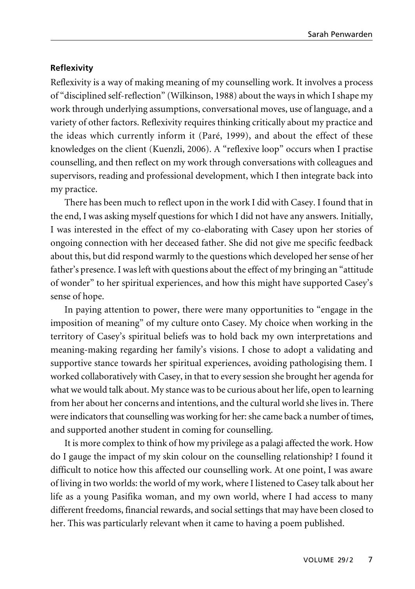# **Reflexivity**

Reflexivity is a way of making meaning of my counselling work. It involves a process of "disciplined self-reflection" (Wilkinson, 1988) about the ways in which I shape my work through underlying assumptions, conversational moves, use of language, and a variety of other factors. Reflexivity requires thinking critically about my practice and the ideas which currently inform it (Paré, 1999), and about the effect of these knowledges on the client (Kuenzli, 2006). A "reflexive loop" occurs when I practise counselling, and then reflect on my work through conversations with colleagues and supervisors, reading and professional development, which I then integrate back into my practice.

There has been much to reflect upon in the work I did with Casey. I found that in the end, I was asking myself questions for which I did not have any answers. Initially, I was interested in the effect of my co-elaborating with Casey upon her stories of ongoing connection with her deceased father. She did not give me specific feedback about this, but did respond warmly to the questions which developed her sense of her father's presence. I was left with questions about the effect of my bringing an "attitude of wonder" to her spiritual experiences, and how this might have supported Casey's sense of hope.

In paying attention to power, there were many opportunities to "engage in the imposition of meaning" of my culture onto Casey. My choice when working in the territory of Casey's spiritual beliefs was to hold back my own interpretations and meaning-making regarding her family's visions. I chose to adopt a validating and supportive stance towards her spiritual experiences, avoiding pathologising them. I worked collaboratively with Casey, in that to every session she brought her agenda for what we would talk about. My stance was to be curious about her life, open to learning from her about her concerns and intentions, and the cultural world she lives in. There were indicators that counselling was working for her: she came back a number of times, and supported another student in coming for counselling.

It is more complex to think of how my privilege as a palagi affected the work. How do I gauge the impact of my skin colour on the counselling relationship? I found it difficult to notice how this affected our counselling work. At one point, I was aware of living in two worlds: the world of my work, where I listened to Casey talk about her life as a young Pasifika woman, and my own world, where I had access to many different freedoms, financial rewards, and social settings that may have been closed to her. This was particularly relevant when it came to having a poem published.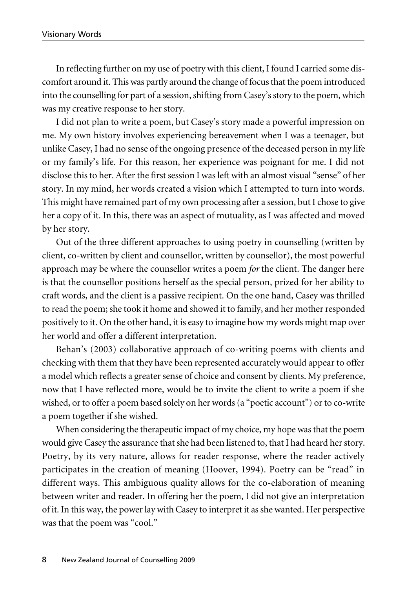In reflecting further on my use of poetry with this client, I found I carried some discomfort around it. This was partly around the change of focus that the poem introduced into the counselling for part of a session, shifting from Casey's story to the poem, which was my creative response to her story.

I did not plan to write a poem, but Casey's story made a powerful impression on me. My own history involves experiencing bereavement when I was a teenager, but unlike Casey, I had no sense of the ongoing presence of the deceased person in my life or my family's life. For this reason, her experience was poignant for me. I did not disclose this to her. After the first session I was left with an almost visual "sense" of her story. In my mind, her words created a vision which I attempted to turn into words. This might have remained part of my own processing after a session, but I chose to give her a copy of it. In this, there was an aspect of mutuality, as I was affected and moved by her story.

Out of the three different approaches to using poetry in counselling (written by client, co-written by client and counsellor, written by counsellor), the most powerful approach may be where the counsellor writes a poem *for* the client. The danger here is that the counsellor positions herself as the special person, prized for her ability to craft words, and the client is a passive recipient. On the one hand, Casey was thrilled to read the poem; she took it home and showed it to family, and her mother responded positively to it. On the other hand, it is easy to imagine how my words might map over her world and offer a different interpretation.

Behan's (2003) collaborative approach of co-writing poems with clients and checking with them that they have been represented accurately would appear to offer a model which reflects a greater sense of choice and consent by clients. My preference, now that I have reflected more, would be to invite the client to write a poem if she wished, or to offer a poem based solely on her words (a "poetic account") or to co-write a poem together if she wished.

When considering the therapeutic impact of my choice, my hope was that the poem would give Casey the assurance that she had been listened to, that I had heard her story. Poetry, by its very nature, allows for reader response, where the reader actively participates in the creation of meaning (Hoover, 1994). Poetry can be "read" in different ways. This ambiguous quality allows for the co-elaboration of meaning between writer and reader. In offering her the poem, I did not give an interpretation of it. In this way, the power lay with Casey to interpret it as she wanted. Her perspective was that the poem was "cool."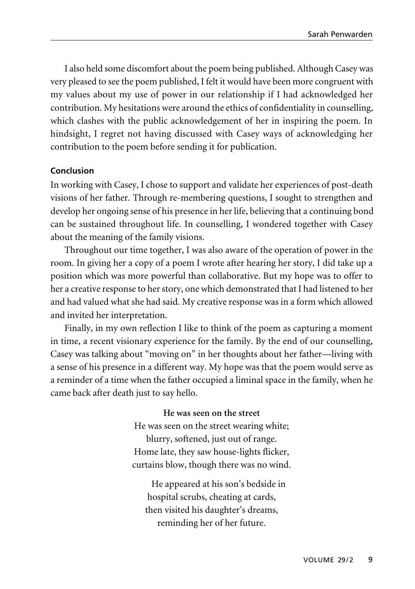I also held some discomfort about the poem being published. Although Casey was very pleased to see the poem published, I felt it would have been more congruent with my values about my use of power in our relationship if I had acknowledged her contribution. My hesitations were around the ethics of confidentiality in counselling, which clashes with the public acknowledgement of her in inspiring the poem. In hindsight, I regret not having discussed with Casey ways of acknowledging her contribution to the poem before sending it for publication.

## **Conclusion**

In working with Casey, I chose to support and validate her experiences of post-death visions of her father. Through re-membering questions, I sought to strengthen and develop her ongoing sense of his presence in her life, believing that a continuing bond can be sustained throughout life. In counselling, I wondered together with Casey about the meaning of the family visions.

Throughout our time together, I was also aware of the operation of power in the room. In giving her a copy of a poem I wrote after hearing her story, I did take up a position which was more powerful than collaborative. But my hope was to offer to her a creative response to her story, one which demonstrated that I had listened to her and had valued what she had said. My creative response was in a form which allowed and invited her interpretation.

Finally, in my own reflection I like to think of the poem as capturing a moment in time, a recent visionary experience for the family. By the end of our counselling, Casey was talking about "moving on" in her thoughts about her father—living with a sense of his presence in a different way. My hope was that the poem would serve as a reminder of a time when the father occupied a liminal space in the family, when he came back after death just to say hello.

> **He was seen on the street** He was seen on the street wearing white; blurry, softened, just out of range. Home late, they saw house-lights flicker, curtains blow, though there was no wind.

He appeared at his son's bedside in hospital scrubs, cheating at cards, then visited his daughter's dreams, reminding her of her future.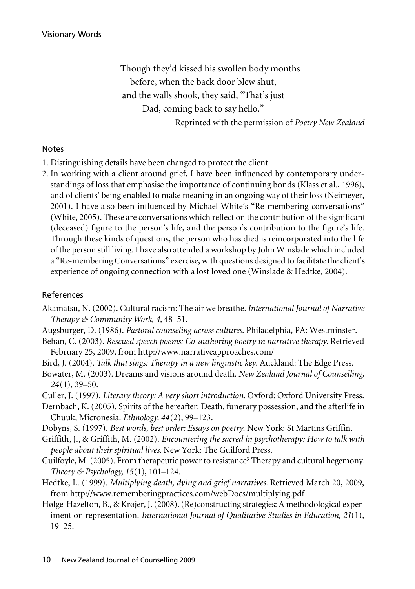Though they'd kissed his swollen body months before, when the back door blew shut, and the walls shook, they said, "That's just Dad, coming back to say hello." Reprinted with the permission of *Poetry New Zealand*

#### Notes

- 1. Distinguishing details have been changed to protect the client.
- 2. In working with a client around grief, I have been influenced by contemporary understandings of loss that emphasise the importance of continuing bonds (Klass et al., 1996), and of clients' being enabled to make meaning in an ongoing way of their loss (Neimeyer, 2001). I have also been influenced by Michael White's "Re-membering conversations" (White, 2005). These are conversations which reflect on the contribution of the significant (deceased) figure to the person's life, and the person's contribution to the figure's life. Through these kinds of questions, the person who has died is reincorporated into the life of the person still living. I have also attended a workshop by John Winslade which included a "Re-membering Conversations" exercise, with questions designed to facilitate the client's experience of ongoing connection with a lost loved one (Winslade & Hedtke, 2004).

#### **References**

- Akamatsu, N. (2002). Cultural racism: The air we breathe*. International Journal of Narrative Therapy & Community Work*, *4*, 48–51.
- Augsburger, D. (1986). *Pastoral counseling across cultures*. Philadelphia, PA: Westminster.
- Behan, C. (2003). *Rescued speech poems: Co-authoring poetry in narrative therapy*. Retrieved February 25, 2009, from http://www.narrativeapproaches.com/
- Bird, J. (2004). *Talk that sings: Therapy in a new linguistic key*. Auckland: The Edge Press.
- Bowater, M. (2003). Dreams and visions around death. *New Zealand Journal of Counselling, 24*(1), 39–50.
- Culler, J. (1997). *Literary theory: A very short introduction*. Oxford: Oxford University Press.
- Dernbach, K. (2005). Spirits of the hereafter: Death, funerary possession, and the afterlife in Chuuk, Micronesia. *Ethnology, 44*(2), 99–123.
- Dobyns, S. (1997). *Best words, best order: Essays on poetry*. New York: St Martins Griffin.
- Griffith, J., & Griffith, M. (2002). *Encountering the sacred in psychotherapy: How to talk with people about their spiritual lives*. New York: The Guilford Press.
- Guilfoyle, M. (2005). From therapeutic power to resistance? Therapy and cultural hegemony. *Theory & Psychology, 15*(1), 101–124.
- Hedtke, L. (1999). *Multiplying death, dying and grief narratives.* Retrieved March 20, 2009, from http://www.rememberingpractices.com/webDocs/multiplying.pdf
- Hølge-Hazelton, B., & Krøjer, J. (2008). (Re)constructing strategies: A methodological experiment on representation. *International Journal of Qualitative Studies in Education, 21*(1), 19–25.